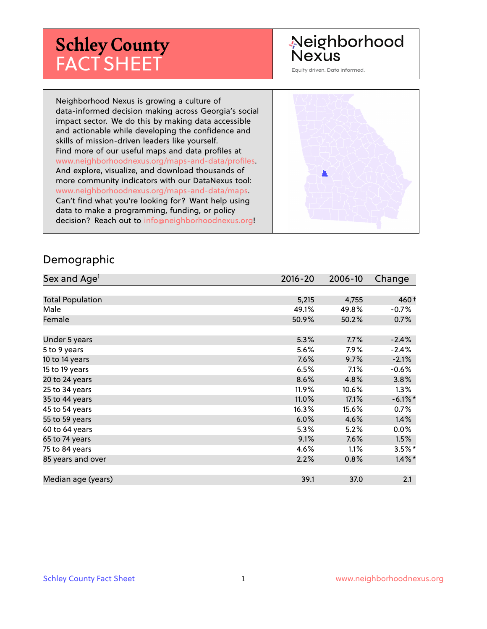# **Schley County** FACT SHEET

# Neighborhood **Nexus**

Equity driven. Data informed.

Neighborhood Nexus is growing a culture of data-informed decision making across Georgia's social impact sector. We do this by making data accessible and actionable while developing the confidence and skills of mission-driven leaders like yourself. Find more of our useful maps and data profiles at www.neighborhoodnexus.org/maps-and-data/profiles. And explore, visualize, and download thousands of more community indicators with our DataNexus tool: www.neighborhoodnexus.org/maps-and-data/maps. Can't find what you're looking for? Want help using data to make a programming, funding, or policy decision? Reach out to [info@neighborhoodnexus.org!](mailto:info@neighborhoodnexus.org)



#### Demographic

| Sex and Age <sup>1</sup> | $2016 - 20$ | 2006-10 | Change     |
|--------------------------|-------------|---------|------------|
|                          |             |         |            |
| <b>Total Population</b>  | 5,215       | 4,755   | $460+$     |
| Male                     | 49.1%       | 49.8%   | $-0.7\%$   |
| Female                   | 50.9%       | 50.2%   | 0.7%       |
|                          |             |         |            |
| Under 5 years            | 5.3%        | 7.7%    | $-2.4%$    |
| 5 to 9 years             | 5.6%        | $7.9\%$ | $-2.4%$    |
| 10 to 14 years           | 7.6%        | 9.7%    | $-2.1%$    |
| 15 to 19 years           | 6.5%        | 7.1%    | $-0.6%$    |
| 20 to 24 years           | 8.6%        | 4.8%    | 3.8%       |
| 25 to 34 years           | 11.9%       | 10.6%   | $1.3\%$    |
| 35 to 44 years           | 11.0%       | 17.1%   | $-6.1\%$ * |
| 45 to 54 years           | 16.3%       | 15.6%   | 0.7%       |
| 55 to 59 years           | 6.0%        | 4.6%    | 1.4%       |
| 60 to 64 years           | 5.3%        | 5.2%    | $0.0\%$    |
| 65 to 74 years           | 9.1%        | 7.6%    | 1.5%       |
| 75 to 84 years           | 4.6%        | 1.1%    | $3.5%$ *   |
| 85 years and over        | 2.2%        | 0.8%    | $1.4\%$ *  |
|                          |             |         |            |
| Median age (years)       | 39.1        | 37.0    | 2.1        |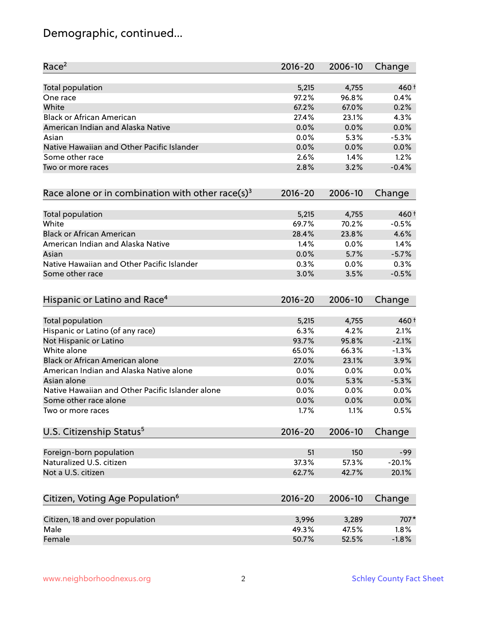# Demographic, continued...

| Race <sup>2</sup>                                            | 2016-20     | 2006-10 | Change   |
|--------------------------------------------------------------|-------------|---------|----------|
| <b>Total population</b>                                      | 5,215       | 4,755   | $460+$   |
| One race                                                     | 97.2%       | 96.8%   | 0.4%     |
| White                                                        | 67.2%       | 67.0%   | 0.2%     |
| <b>Black or African American</b>                             | 27.4%       | 23.1%   | 4.3%     |
| American Indian and Alaska Native                            | 0.0%        | 0.0%    | 0.0%     |
| Asian                                                        | 0.0%        | 5.3%    | $-5.3%$  |
| Native Hawaiian and Other Pacific Islander                   | 0.0%        | 0.0%    | 0.0%     |
| Some other race                                              | 2.6%        | 1.4%    | 1.2%     |
| Two or more races                                            | 2.8%        | 3.2%    | $-0.4%$  |
| Race alone or in combination with other race(s) <sup>3</sup> | $2016 - 20$ | 2006-10 | Change   |
| Total population                                             | 5,215       | 4,755   | 460 +    |
| White                                                        | 69.7%       | 70.2%   | $-0.5%$  |
| <b>Black or African American</b>                             | 28.4%       | 23.8%   | 4.6%     |
| American Indian and Alaska Native                            | 1.4%        | 0.0%    | 1.4%     |
| Asian                                                        | 0.0%        | 5.7%    | $-5.7%$  |
| Native Hawaiian and Other Pacific Islander                   | 0.3%        | 0.0%    | 0.3%     |
| Some other race                                              | 3.0%        | 3.5%    | $-0.5%$  |
| Hispanic or Latino and Race <sup>4</sup>                     | $2016 - 20$ | 2006-10 | Change   |
| Total population                                             | 5,215       | 4,755   | 460 +    |
| Hispanic or Latino (of any race)                             | 6.3%        | 4.2%    | 2.1%     |
| Not Hispanic or Latino                                       | 93.7%       | 95.8%   | $-2.1%$  |
| White alone                                                  | 65.0%       | 66.3%   | $-1.3%$  |
| <b>Black or African American alone</b>                       | 27.0%       | 23.1%   | 3.9%     |
| American Indian and Alaska Native alone                      | 0.0%        | 0.0%    | 0.0%     |
| Asian alone                                                  | 0.0%        | 5.3%    | $-5.3%$  |
| Native Hawaiian and Other Pacific Islander alone             | 0.0%        | 0.0%    | 0.0%     |
| Some other race alone                                        | 0.0%        | 0.0%    | 0.0%     |
| Two or more races                                            | 1.7%        | 1.1%    | 0.5%     |
| U.S. Citizenship Status <sup>5</sup>                         | $2016 - 20$ | 2006-10 | Change   |
| Foreign-born population                                      | 51          | 150     | $-99$    |
| Naturalized U.S. citizen                                     | 37.3%       | 57.3%   | $-20.1%$ |
| Not a U.S. citizen                                           | 62.7%       | 42.7%   | 20.1%    |
| Citizen, Voting Age Population <sup>6</sup>                  | $2016 - 20$ | 2006-10 | Change   |
|                                                              |             |         |          |
| Citizen, 18 and over population                              | 3,996       | 3,289   | 707*     |
| Male                                                         | 49.3%       | 47.5%   | 1.8%     |
| Female                                                       | 50.7%       | 52.5%   | $-1.8%$  |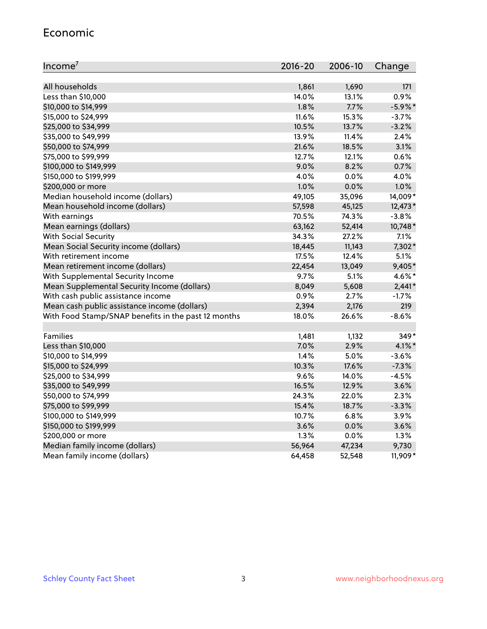#### Economic

| Income <sup>7</sup>                                 | $2016 - 20$ | 2006-10 | Change     |
|-----------------------------------------------------|-------------|---------|------------|
|                                                     |             |         |            |
| All households                                      | 1,861       | 1,690   | 171        |
| Less than \$10,000                                  | 14.0%       | 13.1%   | 0.9%       |
| \$10,000 to \$14,999                                | 1.8%        | 7.7%    | $-5.9\%$ * |
| \$15,000 to \$24,999                                | 11.6%       | 15.3%   | $-3.7%$    |
| \$25,000 to \$34,999                                | 10.5%       | 13.7%   | $-3.2%$    |
| \$35,000 to \$49,999                                | 13.9%       | 11.4%   | 2.4%       |
| \$50,000 to \$74,999                                | 21.6%       | 18.5%   | 3.1%       |
| \$75,000 to \$99,999                                | 12.7%       | 12.1%   | 0.6%       |
| \$100,000 to \$149,999                              | 9.0%        | 8.2%    | 0.7%       |
| \$150,000 to \$199,999                              | 4.0%        | 0.0%    | 4.0%       |
| \$200,000 or more                                   | 1.0%        | 0.0%    | 1.0%       |
| Median household income (dollars)                   | 49,105      | 35,096  | 14,009*    |
| Mean household income (dollars)                     | 57,598      | 45,125  | 12,473*    |
| With earnings                                       | 70.5%       | 74.3%   | $-3.8%$    |
| Mean earnings (dollars)                             | 63,162      | 52,414  | 10,748*    |
| <b>With Social Security</b>                         | 34.3%       | 27.2%   | 7.1%       |
| Mean Social Security income (dollars)               | 18,445      | 11,143  | 7,302*     |
| With retirement income                              | 17.5%       | 12.4%   | 5.1%       |
| Mean retirement income (dollars)                    | 22,454      | 13,049  | 9,405*     |
| With Supplemental Security Income                   | $9.7\%$     | 5.1%    | 4.6%*      |
| Mean Supplemental Security Income (dollars)         | 8,049       | 5,608   | $2,441*$   |
| With cash public assistance income                  | 0.9%        | 2.7%    | $-1.7%$    |
| Mean cash public assistance income (dollars)        | 2,394       | 2,176   | 219        |
| With Food Stamp/SNAP benefits in the past 12 months | 18.0%       | 26.6%   | $-8.6%$    |
|                                                     |             |         |            |
| Families                                            | 1,481       | 1,132   | $349*$     |
| Less than \$10,000                                  | 7.0%        | 2.9%    | $4.1\%$ *  |
| \$10,000 to \$14,999                                | 1.4%        | 5.0%    | $-3.6%$    |
| \$15,000 to \$24,999                                | 10.3%       | 17.6%   | $-7.3%$    |
| \$25,000 to \$34,999                                | 9.6%        | 14.0%   | $-4.5%$    |
| \$35,000 to \$49,999                                | 16.5%       | 12.9%   | 3.6%       |
| \$50,000 to \$74,999                                | 24.3%       | 22.0%   | 2.3%       |
| \$75,000 to \$99,999                                | 15.4%       | 18.7%   | $-3.3%$    |
| \$100,000 to \$149,999                              | 10.7%       | 6.8%    | 3.9%       |
| \$150,000 to \$199,999                              | 3.6%        | 0.0%    | 3.6%       |
| \$200,000 or more                                   | 1.3%        | 0.0%    | 1.3%       |
| Median family income (dollars)                      | 56,964      | 47,234  | 9,730      |
| Mean family income (dollars)                        | 64,458      | 52,548  | 11,909*    |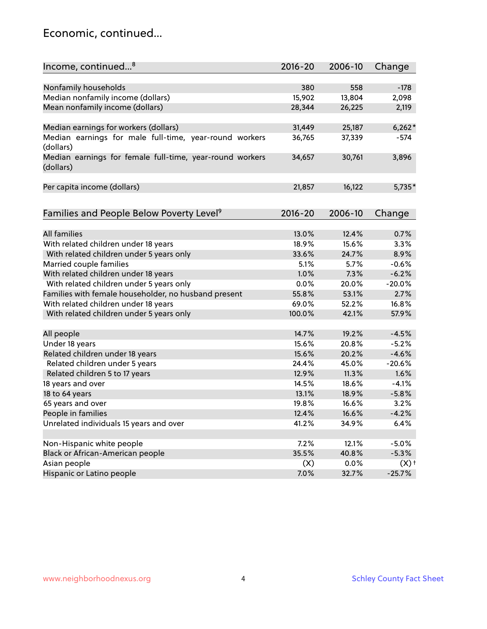### Economic, continued...

| Income, continued <sup>8</sup>                                        | $2016 - 20$ | 2006-10 | Change   |
|-----------------------------------------------------------------------|-------------|---------|----------|
|                                                                       |             |         |          |
| Nonfamily households                                                  | 380         | 558     | $-178$   |
| Median nonfamily income (dollars)                                     | 15,902      | 13,804  | 2,098    |
| Mean nonfamily income (dollars)                                       | 28,344      | 26,225  | 2,119    |
| Median earnings for workers (dollars)                                 | 31,449      | 25,187  | $6,262*$ |
| Median earnings for male full-time, year-round workers                | 36,765      | 37,339  | -574     |
| (dollars)                                                             |             |         |          |
| Median earnings for female full-time, year-round workers<br>(dollars) | 34,657      | 30,761  | 3,896    |
| Per capita income (dollars)                                           | 21,857      | 16,122  | $5,735*$ |
|                                                                       |             |         |          |
| Families and People Below Poverty Level <sup>9</sup>                  | 2016-20     | 2006-10 | Change   |
|                                                                       |             |         |          |
| <b>All families</b>                                                   | 13.0%       | 12.4%   | 0.7%     |
| With related children under 18 years                                  | 18.9%       | 15.6%   | 3.3%     |
| With related children under 5 years only                              | 33.6%       | 24.7%   | 8.9%     |
| Married couple families                                               | 5.1%        | 5.7%    | $-0.6%$  |
| With related children under 18 years                                  | 1.0%        | 7.3%    | $-6.2%$  |
| With related children under 5 years only                              | 0.0%        | 20.0%   | $-20.0%$ |
| Families with female householder, no husband present                  | 55.8%       | 53.1%   | 2.7%     |
| With related children under 18 years                                  | 69.0%       | 52.2%   | 16.8%    |
| With related children under 5 years only                              | 100.0%      | 42.1%   | 57.9%    |
| All people                                                            | 14.7%       | 19.2%   | $-4.5%$  |
| Under 18 years                                                        | 15.6%       | 20.8%   | $-5.2%$  |
| Related children under 18 years                                       | 15.6%       | 20.2%   | $-4.6%$  |
| Related children under 5 years                                        | 24.4%       | 45.0%   | $-20.6%$ |
| Related children 5 to 17 years                                        | 12.9%       | 11.3%   | 1.6%     |
| 18 years and over                                                     | 14.5%       | 18.6%   | $-4.1%$  |
| 18 to 64 years                                                        | 13.1%       | 18.9%   | $-5.8%$  |
| 65 years and over                                                     | 19.8%       | 16.6%   | 3.2%     |
| People in families                                                    | 12.4%       | 16.6%   | $-4.2%$  |
| Unrelated individuals 15 years and over                               | 41.2%       | 34.9%   | 6.4%     |
|                                                                       |             |         |          |
| Non-Hispanic white people                                             | 7.2%        | 12.1%   | $-5.0%$  |
| Black or African-American people                                      | 35.5%       | 40.8%   | $-5.3%$  |
| Asian people                                                          | (X)         | 0.0%    | (X)      |
| Hispanic or Latino people                                             | 7.0%        | 32.7%   | $-25.7%$ |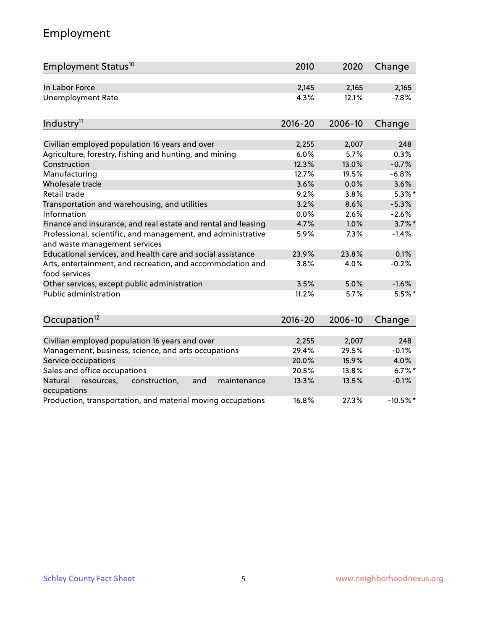# Employment

| Employment Status <sup>10</sup>                                                               | 2010        | 2020    | Change     |
|-----------------------------------------------------------------------------------------------|-------------|---------|------------|
| In Labor Force                                                                                | 2,145       | 2,165   | 2,165      |
| Unemployment Rate                                                                             | 4.3%        | 12.1%   | $-7.8%$    |
|                                                                                               |             |         |            |
| Industry <sup>11</sup>                                                                        | $2016 - 20$ | 2006-10 | Change     |
|                                                                                               |             |         |            |
| Civilian employed population 16 years and over                                                | 2,255       | 2,007   | 248        |
| Agriculture, forestry, fishing and hunting, and mining                                        | 6.0%        | 5.7%    | 0.3%       |
| Construction                                                                                  | 12.3%       | 13.0%   | $-0.7%$    |
| Manufacturing                                                                                 | 12.7%       | 19.5%   | $-6.8%$    |
| Wholesale trade                                                                               | 3.6%        | 0.0%    | 3.6%       |
| Retail trade                                                                                  | 9.2%        | 3.8%    | $5.3\%$ *  |
| Transportation and warehousing, and utilities                                                 | 3.2%        | 8.6%    | $-5.3%$    |
| Information                                                                                   | 0.0%        | 2.6%    | $-2.6%$    |
| Finance and insurance, and real estate and rental and leasing                                 | 4.7%        | 1.0%    | $3.7\%$ *  |
| Professional, scientific, and management, and administrative<br>and waste management services | 5.9%        | 7.3%    | $-1.4%$    |
| Educational services, and health care and social assistance                                   | 23.9%       | 23.8%   | 0.1%       |
| Arts, entertainment, and recreation, and accommodation and<br>food services                   | 3.8%        | 4.0%    | $-0.2%$    |
| Other services, except public administration                                                  | 3.5%        | 5.0%    | $-1.6%$    |
| Public administration                                                                         | 11.2%       | 5.7%    | $5.5%$ *   |
| Occupation <sup>12</sup>                                                                      | $2016 - 20$ | 2006-10 | Change     |
|                                                                                               |             |         |            |
| Civilian employed population 16 years and over                                                | 2,255       | 2,007   | 248        |
| Management, business, science, and arts occupations                                           | 29.4%       | 29.5%   | $-0.1%$    |
| Service occupations                                                                           | 20.0%       | 15.9%   | 4.0%       |
| Sales and office occupations                                                                  | 20.5%       | 13.8%   | $6.7\%$ *  |
| and<br>Natural<br>resources,<br>construction,<br>maintenance<br>occupations                   | 13.3%       | 13.5%   | $-0.1%$    |
| Production, transportation, and material moving occupations                                   | 16.8%       | 27.3%   | $-10.5%$ * |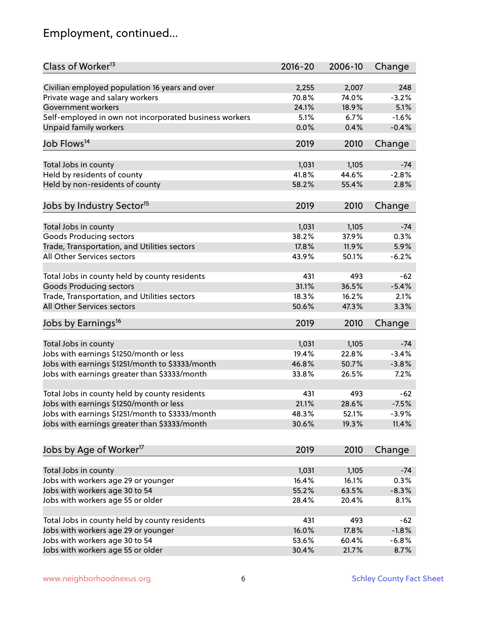# Employment, continued...

| Class of Worker <sup>13</sup>                          | $2016 - 20$ | 2006-10        | Change   |
|--------------------------------------------------------|-------------|----------------|----------|
| Civilian employed population 16 years and over         | 2,255       | 2,007          | 248      |
| Private wage and salary workers                        | 70.8%       | 74.0%          | $-3.2%$  |
| Government workers                                     | 24.1%       | 18.9%          | 5.1%     |
| Self-employed in own not incorporated business workers | 5.1%        | 6.7%           | $-1.6%$  |
| Unpaid family workers                                  | 0.0%        | 0.4%           | $-0.4%$  |
|                                                        |             |                |          |
| Job Flows <sup>14</sup>                                | 2019        | 2010           | Change   |
|                                                        | 1,031       |                | $-74$    |
| Total Jobs in county                                   | 41.8%       | 1,105          |          |
| Held by residents of county                            |             | 44.6%          | $-2.8%$  |
| Held by non-residents of county                        | 58.2%       | 55.4%          | 2.8%     |
| Jobs by Industry Sector <sup>15</sup>                  | 2019        | 2010           | Change   |
| Total Jobs in county                                   | 1,031       | 1,105          | $-74$    |
| Goods Producing sectors                                | 38.2%       | 37.9%          | 0.3%     |
| Trade, Transportation, and Utilities sectors           | 17.8%       | 11.9%          | 5.9%     |
| All Other Services sectors                             | 43.9%       | 50.1%          | $-6.2%$  |
|                                                        |             |                |          |
| Total Jobs in county held by county residents          | 431         | 493            | $-62$    |
| <b>Goods Producing sectors</b>                         | 31.1%       | 36.5%          | $-5.4%$  |
| Trade, Transportation, and Utilities sectors           | 18.3%       | 16.2%          | 2.1%     |
| All Other Services sectors                             | 50.6%       | 47.3%          | 3.3%     |
| Jobs by Earnings <sup>16</sup>                         | 2019        | 2010           | Change   |
|                                                        |             |                |          |
| Total Jobs in county                                   | 1,031       | 1,105<br>22.8% | $-74$    |
| Jobs with earnings \$1250/month or less                | 19.4%       |                | $-3.4%$  |
| Jobs with earnings \$1251/month to \$3333/month        | 46.8%       | 50.7%          | $-3.8%$  |
| Jobs with earnings greater than \$3333/month           | 33.8%       | 26.5%          | 7.2%     |
| Total Jobs in county held by county residents          | 431         | 493            | $-62$    |
| Jobs with earnings \$1250/month or less                | 21.1%       | 28.6%          | $-7.5%$  |
| Jobs with earnings \$1251/month to \$3333/month        | 48.3%       | 52.1%          | $-3.9\%$ |
| Jobs with earnings greater than \$3333/month           | 30.6%       | 19.3%          | 11.4%    |
|                                                        |             |                |          |
| Jobs by Age of Worker <sup>17</sup>                    | 2019        | 2010           | Change   |
| Total Jobs in county                                   | 1,031       | 1,105          | $-74$    |
| Jobs with workers age 29 or younger                    | 16.4%       | 16.1%          | 0.3%     |
| Jobs with workers age 30 to 54                         | 55.2%       | 63.5%          | $-8.3%$  |
| Jobs with workers age 55 or older                      | 28.4%       | 20.4%          | 8.1%     |
|                                                        |             |                |          |
| Total Jobs in county held by county residents          | 431         | 493            | $-62$    |
| Jobs with workers age 29 or younger                    | 16.0%       | 17.8%          | $-1.8%$  |
| Jobs with workers age 30 to 54                         | 53.6%       | 60.4%          | $-6.8%$  |
| Jobs with workers age 55 or older                      | 30.4%       | 21.7%          | 8.7%     |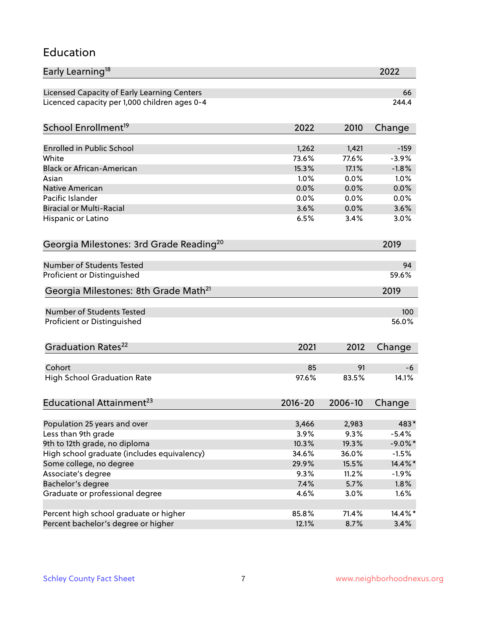### Education

| Early Learning <sup>18</sup>                        |             |         | 2022       |
|-----------------------------------------------------|-------------|---------|------------|
| Licensed Capacity of Early Learning Centers         |             |         | 66         |
| Licenced capacity per 1,000 children ages 0-4       |             |         | 244.4      |
| School Enrollment <sup>19</sup>                     | 2022        | 2010    | Change     |
|                                                     |             |         |            |
| <b>Enrolled in Public School</b>                    | 1,262       | 1,421   | $-159$     |
| White                                               | 73.6%       | 77.6%   | $-3.9%$    |
| <b>Black or African-American</b>                    | 15.3%       | 17.1%   | $-1.8%$    |
| Asian                                               | 1.0%        | 0.0%    | 1.0%       |
| <b>Native American</b>                              | 0.0%        | 0.0%    | 0.0%       |
| Pacific Islander                                    | 0.0%        | 0.0%    | 0.0%       |
| <b>Biracial or Multi-Racial</b>                     | 3.6%        | 0.0%    | 3.6%       |
| Hispanic or Latino                                  | 6.5%        | 3.4%    | 3.0%       |
| Georgia Milestones: 3rd Grade Reading <sup>20</sup> |             |         | 2019       |
|                                                     |             |         |            |
| Number of Students Tested                           |             |         | 94         |
| Proficient or Distinguished                         |             |         | 59.6%      |
| Georgia Milestones: 8th Grade Math <sup>21</sup>    |             |         | 2019       |
| Number of Students Tested                           |             |         | 100        |
| Proficient or Distinguished                         |             |         | 56.0%      |
|                                                     |             |         |            |
| Graduation Rates <sup>22</sup>                      | 2021        | 2012    | Change     |
| Cohort                                              | 85          | 91      | -6         |
| <b>High School Graduation Rate</b>                  | 97.6%       | 83.5%   | 14.1%      |
|                                                     |             |         |            |
| Educational Attainment <sup>23</sup>                | $2016 - 20$ | 2006-10 | Change     |
| Population 25 years and over                        | 3,466       | 2,983   | 483*       |
| Less than 9th grade                                 | 3.9%        | 9.3%    | $-5.4%$    |
| 9th to 12th grade, no diploma                       | 10.3%       | 19.3%   | $-9.0\%$ * |
|                                                     |             |         |            |
| High school graduate (includes equivalency)         | 34.6%       | 36.0%   | $-1.5%$    |
| Some college, no degree                             | 29.9%       | 15.5%   | 14.4%*     |
| Associate's degree                                  | 9.3%        | 11.2%   | $-1.9%$    |
| Bachelor's degree                                   | 7.4%        | 5.7%    | 1.8%       |
| Graduate or professional degree                     | 4.6%        | 3.0%    | 1.6%       |
| Percent high school graduate or higher              | 85.8%       | 71.4%   | 14.4%*     |
| Percent bachelor's degree or higher                 | 12.1%       | 8.7%    | 3.4%       |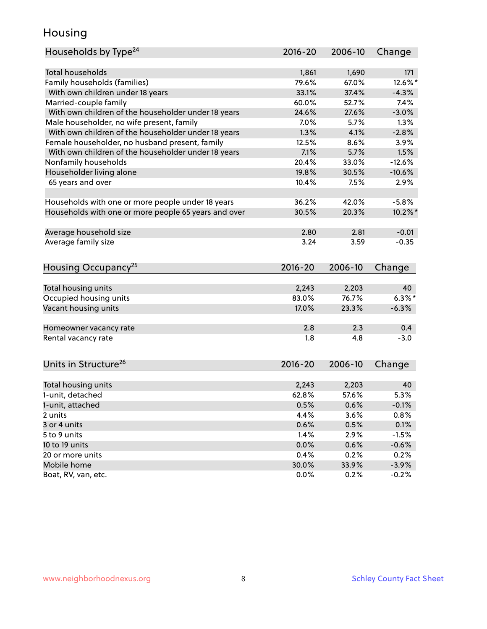### Housing

| Households by Type <sup>24</sup>                     | 2016-20     | 2006-10 | Change     |
|------------------------------------------------------|-------------|---------|------------|
|                                                      |             |         |            |
| <b>Total households</b>                              | 1,861       | 1,690   | 171        |
| Family households (families)                         | 79.6%       | 67.0%   | 12.6%*     |
| With own children under 18 years                     | 33.1%       | 37.4%   | $-4.3%$    |
| Married-couple family                                | 60.0%       | 52.7%   | 7.4%       |
| With own children of the householder under 18 years  | 24.6%       | 27.6%   | $-3.0%$    |
| Male householder, no wife present, family            | 7.0%        | 5.7%    | 1.3%       |
| With own children of the householder under 18 years  | 1.3%        | 4.1%    | $-2.8%$    |
| Female householder, no husband present, family       | 12.5%       | 8.6%    | 3.9%       |
| With own children of the householder under 18 years  | 7.1%        | 5.7%    | 1.5%       |
| Nonfamily households                                 | 20.4%       | 33.0%   | $-12.6%$   |
| Householder living alone                             | 19.8%       | 30.5%   | $-10.6%$   |
| 65 years and over                                    | 10.4%       | 7.5%    | 2.9%       |
|                                                      |             |         |            |
| Households with one or more people under 18 years    | 36.2%       | 42.0%   | $-5.8%$    |
| Households with one or more people 65 years and over | 30.5%       | 20.3%   | $10.2\%$ * |
| Average household size                               | 2.80        | 2.81    | $-0.01$    |
| Average family size                                  | 3.24        | 3.59    | $-0.35$    |
|                                                      |             |         |            |
| Housing Occupancy <sup>25</sup>                      | $2016 - 20$ | 2006-10 | Change     |
|                                                      |             |         |            |
| Total housing units                                  | 2,243       | 2,203   | 40         |
| Occupied housing units                               | 83.0%       | 76.7%   | $6.3\%$ *  |
| Vacant housing units                                 | 17.0%       | 23.3%   | $-6.3%$    |
| Homeowner vacancy rate                               | 2.8         | 2.3     | 0.4        |
| Rental vacancy rate                                  | 1.8         | 4.8     | $-3.0$     |
|                                                      |             |         |            |
| Units in Structure <sup>26</sup>                     | 2016-20     | 2006-10 | Change     |
|                                                      |             |         |            |
| Total housing units                                  | 2,243       | 2,203   | 40         |
| 1-unit, detached                                     | 62.8%       | 57.6%   | 5.3%       |
| 1-unit, attached                                     | 0.5%        | 0.6%    | $-0.1%$    |
| 2 units                                              | 4.4%        | 3.6%    | 0.8%       |
| 3 or 4 units                                         | 0.6%        | 0.5%    | 0.1%       |
| 5 to 9 units                                         | 1.4%        | 2.9%    | $-1.5%$    |
| 10 to 19 units                                       | 0.0%        | 0.6%    | $-0.6%$    |
| 20 or more units                                     | 0.4%        | 0.2%    | 0.2%       |
| Mobile home                                          | 30.0%       | 33.9%   | $-3.9%$    |
| Boat, RV, van, etc.                                  | 0.0%        | 0.2%    | $-0.2%$    |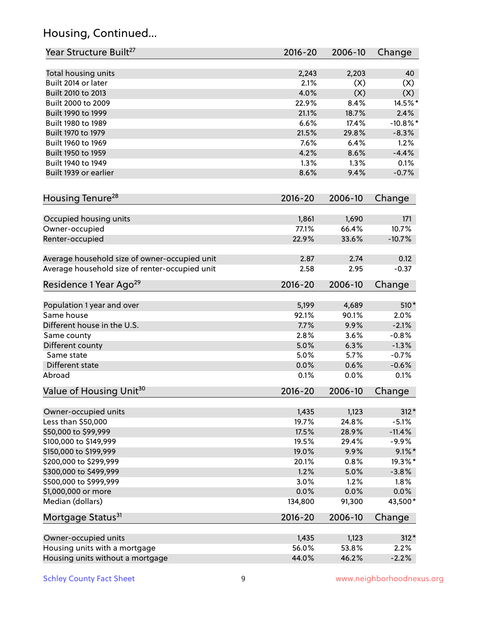# Housing, Continued...

| Year Structure Built <sup>27</sup>             | 2016-20     | 2006-10 | Change      |
|------------------------------------------------|-------------|---------|-------------|
| Total housing units                            | 2,243       | 2,203   | 40          |
| Built 2014 or later                            | 2.1%        | (X)     | (X)         |
| Built 2010 to 2013                             | 4.0%        | (X)     | (X)         |
| Built 2000 to 2009                             | 22.9%       | 8.4%    | 14.5%*      |
| Built 1990 to 1999                             | 21.1%       | 18.7%   | 2.4%        |
| Built 1980 to 1989                             | 6.6%        | 17.4%   | $-10.8\%$ * |
| Built 1970 to 1979                             | 21.5%       | 29.8%   | $-8.3%$     |
| Built 1960 to 1969                             | 7.6%        | 6.4%    | 1.2%        |
| Built 1950 to 1959                             | 4.2%        | 8.6%    | $-4.4%$     |
| Built 1940 to 1949                             | 1.3%        | 1.3%    | 0.1%        |
| Built 1939 or earlier                          | 8.6%        | 9.4%    | $-0.7%$     |
|                                                |             |         |             |
| Housing Tenure <sup>28</sup>                   | $2016 - 20$ | 2006-10 | Change      |
| Occupied housing units                         | 1,861       | 1,690   | 171         |
| Owner-occupied                                 | 77.1%       | 66.4%   | 10.7%       |
| Renter-occupied                                | 22.9%       | 33.6%   | $-10.7%$    |
| Average household size of owner-occupied unit  | 2.87        | 2.74    | 0.12        |
| Average household size of renter-occupied unit | 2.58        | 2.95    | $-0.37$     |
| Residence 1 Year Ago <sup>29</sup>             | $2016 - 20$ | 2006-10 | Change      |
|                                                | 5,199       | 4,689   | 510*        |
| Population 1 year and over<br>Same house       | 92.1%       | 90.1%   | 2.0%        |
| Different house in the U.S.                    | 7.7%        | 9.9%    | $-2.1%$     |
|                                                | 2.8%        | 3.6%    | $-0.8%$     |
| Same county<br>Different county                | 5.0%        | 6.3%    | $-1.3%$     |
| Same state                                     | 5.0%        | 5.7%    | $-0.7%$     |
| Different state                                | 0.0%        | 0.6%    | $-0.6%$     |
| Abroad                                         | 0.1%        | 0.0%    | 0.1%        |
| Value of Housing Unit <sup>30</sup>            | 2016-20     | 2006-10 | Change      |
|                                                |             |         |             |
| Owner-occupied units                           | 1,435       | 1,123   | $312*$      |
| Less than \$50,000                             | 19.7%       | 24.8%   | $-5.1%$     |
| \$50,000 to \$99,999                           | 17.5%       | 28.9%   | $-11.4%$    |
| \$100,000 to \$149,999                         | 19.5%       | 29.4%   | $-9.9%$     |
| \$150,000 to \$199,999                         | 19.0%       | 9.9%    | $9.1\%$ *   |
| \$200,000 to \$299,999                         | 20.1%       | 0.8%    | 19.3%*      |
| \$300,000 to \$499,999                         | 1.2%        | 5.0%    | $-3.8%$     |
| \$500,000 to \$999,999                         | 3.0%        | 1.2%    | 1.8%        |
| \$1,000,000 or more                            | 0.0%        | 0.0%    | 0.0%        |
| Median (dollars)                               | 134,800     | 91,300  | 43,500*     |
| Mortgage Status <sup>31</sup>                  | $2016 - 20$ | 2006-10 | Change      |
| Owner-occupied units                           | 1,435       | 1,123   | $312*$      |
| Housing units with a mortgage                  | 56.0%       | 53.8%   | 2.2%        |
| Housing units without a mortgage               | 44.0%       | 46.2%   | $-2.2%$     |
|                                                |             |         |             |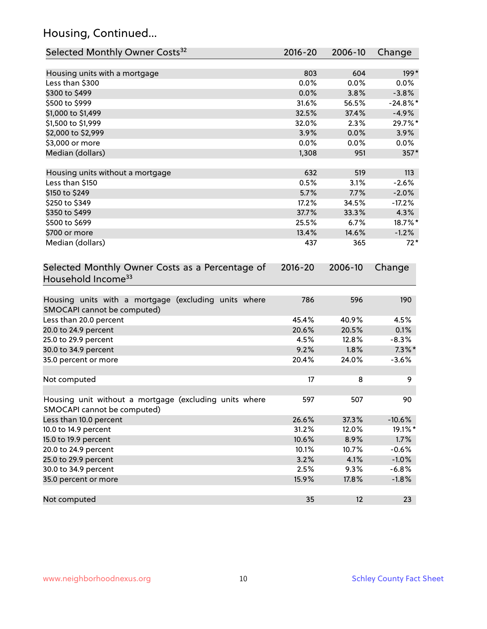# Housing, Continued...

| Selected Monthly Owner Costs <sup>32</sup>                                            | 2016-20       | 2006-10       | Change              |
|---------------------------------------------------------------------------------------|---------------|---------------|---------------------|
| Housing units with a mortgage                                                         | 803           | 604           | $199*$              |
| Less than \$300                                                                       | 0.0%          | 0.0%          | $0.0\%$             |
| \$300 to \$499                                                                        | 0.0%          | 3.8%          | $-3.8%$             |
| \$500 to \$999                                                                        | 31.6%         | 56.5%         | $-24.8\%$ *         |
| \$1,000 to \$1,499                                                                    | 32.5%         | 37.4%         | $-4.9%$             |
| \$1,500 to \$1,999                                                                    | 32.0%         | 2.3%          | 29.7%*              |
| \$2,000 to \$2,999                                                                    | 3.9%          | 0.0%          | 3.9%                |
| \$3,000 or more                                                                       | 0.0%          | 0.0%          | $0.0\%$             |
| Median (dollars)                                                                      | 1,308         | 951           | 357*                |
|                                                                                       |               |               |                     |
| Housing units without a mortgage                                                      | 632<br>0.5%   | 519<br>3.1%   | 113<br>$-2.6%$      |
| Less than \$150                                                                       |               |               |                     |
| \$150 to \$249                                                                        | 5.7%<br>17.2% | 7.7%          | $-2.0%$<br>$-17.2%$ |
| \$250 to \$349                                                                        | 37.7%         | 34.5%         | 4.3%                |
| \$350 to \$499<br>\$500 to \$699                                                      | 25.5%         | 33.3%<br>6.7% | 18.7%*              |
| \$700 or more                                                                         | 13.4%         | 14.6%         | $-1.2%$             |
| Median (dollars)                                                                      | 437           | 365           | $72*$               |
|                                                                                       |               |               |                     |
| Selected Monthly Owner Costs as a Percentage of<br>Household Income <sup>33</sup>     | $2016 - 20$   | 2006-10       | Change              |
| Housing units with a mortgage (excluding units where<br>SMOCAPI cannot be computed)   | 786           | 596           | 190                 |
| Less than 20.0 percent                                                                | 45.4%         | 40.9%         | 4.5%                |
| 20.0 to 24.9 percent                                                                  | 20.6%         | 20.5%         | 0.1%                |
| 25.0 to 29.9 percent                                                                  | 4.5%          | 12.8%         | $-8.3%$             |
| 30.0 to 34.9 percent                                                                  | 9.2%          | 1.8%          | $7.3\%$ *           |
| 35.0 percent or more                                                                  | 20.4%         | 24.0%         | $-3.6%$             |
| Not computed                                                                          | 17            | 8             | 9                   |
| Housing unit without a mortgage (excluding units where<br>SMOCAPI cannot be computed) | 597           | 507           | 90                  |
| Less than 10.0 percent                                                                | 26.6%         | 37.3%         | $-10.6%$            |
| 10.0 to 14.9 percent                                                                  | 31.2%         | 12.0%         | 19.1%*              |
| 15.0 to 19.9 percent                                                                  | 10.6%         | 8.9%          | 1.7%                |
| 20.0 to 24.9 percent                                                                  | 10.1%         | 10.7%         | $-0.6%$             |
| 25.0 to 29.9 percent                                                                  | 3.2%          | 4.1%          | $-1.0%$             |
| 30.0 to 34.9 percent                                                                  | 2.5%          | 9.3%          | $-6.8%$             |
| 35.0 percent or more                                                                  | 15.9%         | 17.8%         | $-1.8%$             |
| Not computed                                                                          | 35            | 12            | 23                  |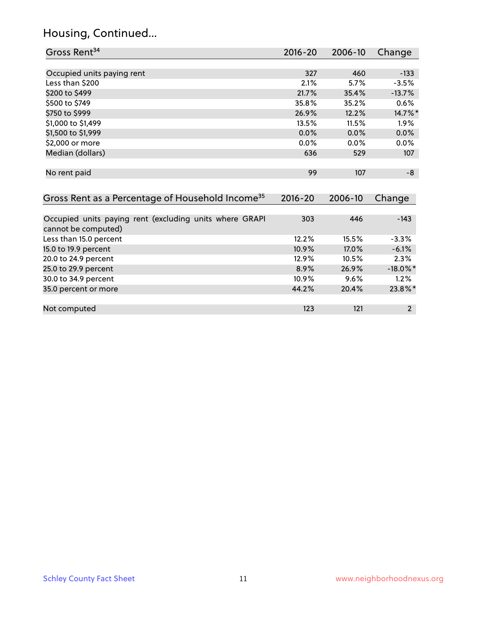#### Housing, Continued...

| Gross Rent <sup>34</sup>                                                       | 2016-20     | $2006 - 10$ | Change   |
|--------------------------------------------------------------------------------|-------------|-------------|----------|
|                                                                                |             |             |          |
| Occupied units paying rent                                                     | 327         | 460         | $-133$   |
| Less than \$200                                                                | 2.1%        | 5.7%        | $-3.5%$  |
| \$200 to \$499                                                                 | 21.7%       | 35.4%       | $-13.7%$ |
| \$500 to \$749                                                                 | 35.8%       | 35.2%       | 0.6%     |
| \$750 to \$999                                                                 | 26.9%       | 12.2%       | 14.7%*   |
| \$1,000 to \$1,499                                                             | 13.5%       | 11.5%       | $1.9\%$  |
| \$1,500 to \$1,999                                                             | 0.0%        | 0.0%        | 0.0%     |
| \$2,000 or more                                                                | 0.0%        | 0.0%        | 0.0%     |
| Median (dollars)                                                               | 636         | 529         | 107      |
|                                                                                |             |             |          |
| No rent paid                                                                   | 99          | 107         | -8       |
|                                                                                |             |             |          |
| Gross Rent as a Percentage of Household Income <sup>35</sup>                   | $2016 - 20$ | 2006-10     | Change   |
|                                                                                |             |             |          |
| Occupied units paying rent (excluding units where GRAPI<br>cannot be computed) | 303         | 446         | $-143$   |
| Less than 15.0 percent                                                         | 12.2%       | 15.5%       | $-3.3%$  |
| 15.0 to 19.9 percent                                                           | 10.9%       | 17.0%       | $-6.1%$  |
| 20.0 to 24.9 percent                                                           | 12.9%       | 10.5%       | 2.3%     |

25.0 to 29.9 percent 25.0 to 29.9 percent 25.0 to 29.9 percent 26.9% 26.9% and 26.9% 26.9% 26.9% 26.9% 26.9% 26.9% 10.9% 9.6% 1.2% 30.0 to 34.9 percent 10.9% 9.6% 1.2% 9.6% 1.2% 9.6% 1.2% 9.6% 1.2% 9.6% 1.2% 9.6% 1.2% 9.6% 1.2%

Not computed **123** 121 2

35.0 percent or more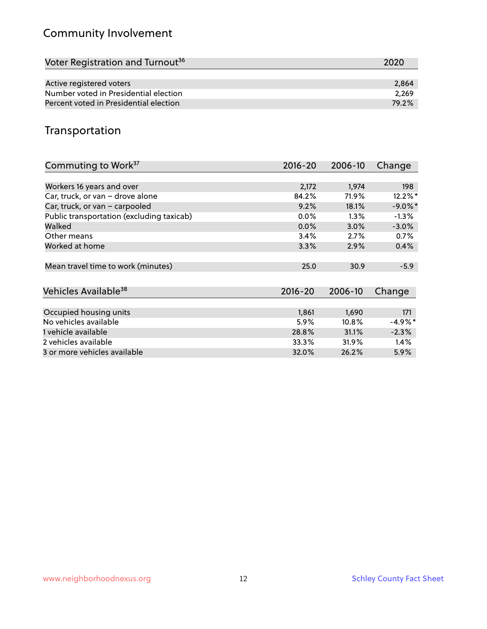# Community Involvement

| Voter Registration and Turnout <sup>36</sup> | 2020  |
|----------------------------------------------|-------|
|                                              |       |
| Active registered voters                     | 2,864 |
| Number voted in Presidential election        | 2.269 |
| Percent voted in Presidential election       | 79.2% |

## Transportation

| Commuting to Work <sup>37</sup>           | 2016-20     | 2006-10 | Change     |
|-------------------------------------------|-------------|---------|------------|
|                                           |             |         |            |
| Workers 16 years and over                 | 2,172       | 1,974   | 198        |
| Car, truck, or van - drove alone          | 84.2%       | 71.9%   | 12.2%*     |
| Car, truck, or van - carpooled            | 9.2%        | 18.1%   | $-9.0\%$ * |
| Public transportation (excluding taxicab) | $0.0\%$     | $1.3\%$ | $-1.3%$    |
| Walked                                    | 0.0%        | 3.0%    | $-3.0%$    |
| Other means                               | 3.4%        | 2.7%    | 0.7%       |
| Worked at home                            | 3.3%        | 2.9%    | 0.4%       |
|                                           |             |         |            |
| Mean travel time to work (minutes)        | 25.0        | 30.9    | $-5.9$     |
|                                           |             |         |            |
| Vehicles Available <sup>38</sup>          | $2016 - 20$ | 2006-10 | Change     |
|                                           |             |         |            |
| Occupied housing units                    | 1,861       | 1,690   | 171        |
| No vehicles available                     | 5.9%        | 10.8%   | $-4.9\%$ * |
| 1 vehicle available                       | 28.8%       | 31.1%   | $-2.3%$    |
| 2 vehicles available                      | 33.3%       | 31.9%   | 1.4%       |
| 3 or more vehicles available              | 32.0%       | 26.2%   | $5.9\%$    |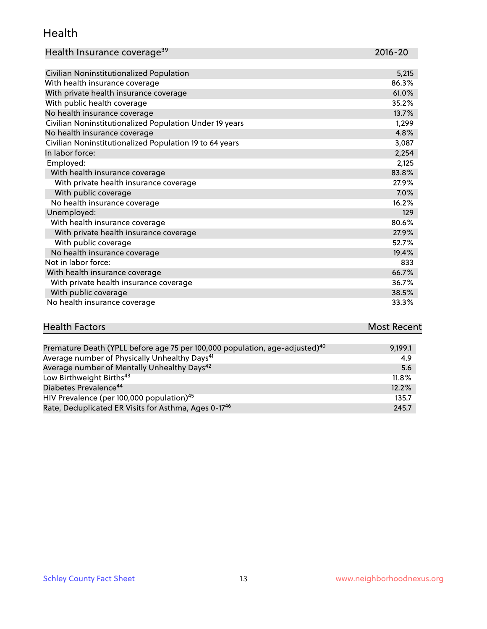#### Health

| Health Insurance coverage <sup>39</sup> | 2016-20 |
|-----------------------------------------|---------|
|-----------------------------------------|---------|

| Civilian Noninstitutionalized Population                | 5,215 |
|---------------------------------------------------------|-------|
| With health insurance coverage                          | 86.3% |
| With private health insurance coverage                  | 61.0% |
| With public health coverage                             | 35.2% |
| No health insurance coverage                            | 13.7% |
| Civilian Noninstitutionalized Population Under 19 years | 1,299 |
| No health insurance coverage                            | 4.8%  |
| Civilian Noninstitutionalized Population 19 to 64 years | 3,087 |
| In labor force:                                         | 2,254 |
| Employed:                                               | 2,125 |
| With health insurance coverage                          | 83.8% |
| With private health insurance coverage                  | 27.9% |
| With public coverage                                    | 7.0%  |
| No health insurance coverage                            | 16.2% |
| Unemployed:                                             | 129   |
| With health insurance coverage                          | 80.6% |
| With private health insurance coverage                  | 27.9% |
| With public coverage                                    | 52.7% |
| No health insurance coverage                            | 19.4% |
| Not in labor force:                                     | 833   |
| With health insurance coverage                          | 66.7% |
| With private health insurance coverage                  | 36.7% |
| With public coverage                                    | 38.5% |
| No health insurance coverage                            | 33.3% |

| <b>Health Factors</b>                                                                   | <b>Most Recent</b> |
|-----------------------------------------------------------------------------------------|--------------------|
|                                                                                         |                    |
| Premature Death (YPLL before age 75 per 100,000 population, age-adjusted) <sup>40</sup> | 9.199.1            |

| Trematare Death (The Berore age 75 per 100,000 population, age adjusted) | ,,,,,,   |
|--------------------------------------------------------------------------|----------|
| Average number of Physically Unhealthy Days <sup>41</sup>                | 4.9      |
| Average number of Mentally Unhealthy Days <sup>42</sup>                  | 5.6      |
| Low Birthweight Births <sup>43</sup>                                     | $11.8\%$ |
| Diabetes Prevalence <sup>44</sup>                                        | 12.2%    |
| HIV Prevalence (per 100,000 population) <sup>45</sup>                    | 135.7    |
| Rate, Deduplicated ER Visits for Asthma, Ages 0-17 <sup>46</sup>         | 245.7    |